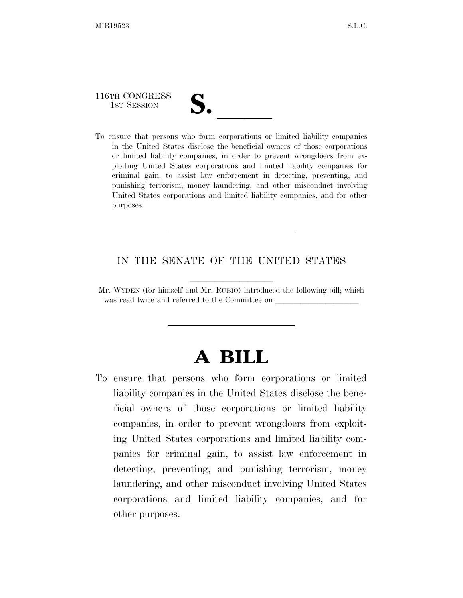116TH CONGRESS

116TH CONGRESS<br>
1ST SESSION<br>
To ensure that persons who form corporations or limited liability companies in the United States disclose the beneficial owners of those corporations or limited liability companies, in order to prevent wrongdoers from exploiting United States corporations and limited liability companies for criminal gain, to assist law enforcement in detecting, preventing, and punishing terrorism, money laundering, and other misconduct involving United States corporations and limited liability companies, and for other purposes.

## IN THE SENATE OF THE UNITED STATES

Mr. WYDEN (for himself and Mr. RUBIO) introduced the following bill; which was read twice and referred to the Committee on

## **A BILL**

To ensure that persons who form corporations or limited liability companies in the United States disclose the beneficial owners of those corporations or limited liability companies, in order to prevent wrongdoers from exploiting United States corporations and limited liability companies for criminal gain, to assist law enforcement in detecting, preventing, and punishing terrorism, money laundering, and other misconduct involving United States corporations and limited liability companies, and for other purposes.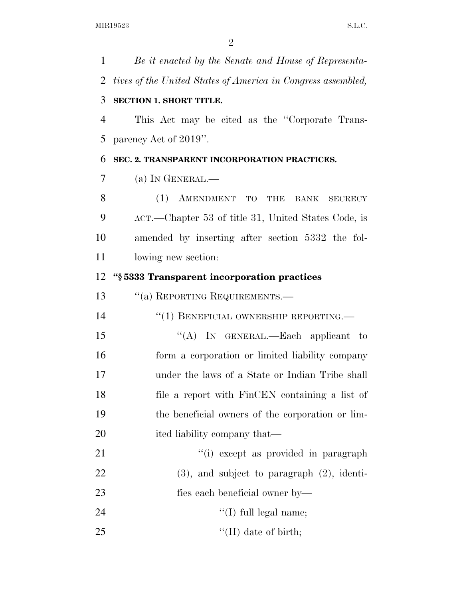*Be it enacted by the Senate and House of Representa- tives of the United States of America in Congress assembled,*  **SECTION 1. SHORT TITLE.**  This Act may be cited as the ''Corporate Trans- parency Act of 2019''. **SEC. 2. TRANSPARENT INCORPORATION PRACTICES.**  (a) IN GENERAL.— 8 (1) AMENDMENT TO THE BANK SECRECY ACT.—Chapter 53 of title 31, United States Code, is amended by inserting after section 5332 the fol- lowing new section: **''§ 5333 Transparent incorporation practices**  13 "(a) REPORTING REQUIREMENTS.—  $(1)$  BENEFICIAL OWNERSHIP REPORTING. 15 "(A) In GENERAL.—Each applicant to form a corporation or limited liability company under the laws of a State or Indian Tribe shall file a report with FinCEN containing a list of the beneficial owners of the corporation or lim-20 ited liability company that— 21 ''(i) except as provided in paragraph (3), and subject to paragraph (2), identi- fies each beneficial owner by—  $\text{``(I) full legal name;}$ ''(II) date of birth;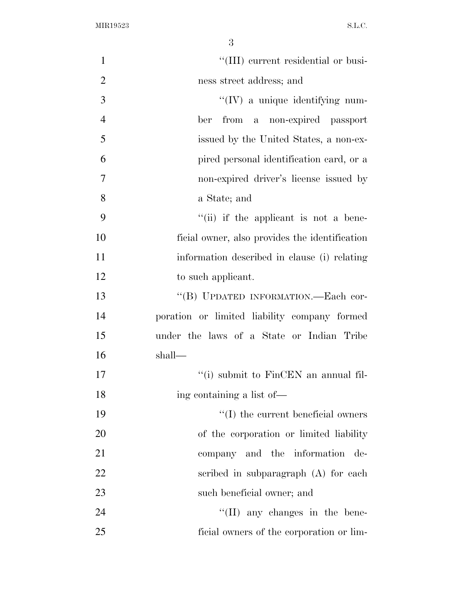| $\mathbf{1}$   | "(III) current residential or busi-            |
|----------------|------------------------------------------------|
| $\overline{2}$ | ness street address; and                       |
| 3              | $\lq\lq$ (IV) a unique identifying num-        |
| $\overline{4}$ | ber from a non-expired passport                |
| 5              | issued by the United States, a non-ex-         |
| 6              | pired personal identification card, or a       |
| $\tau$         | non-expired driver's license issued by         |
| 8              | a State; and                                   |
| 9              | $``(ii)$ if the applicant is not a bene-       |
| 10             | ficial owner, also provides the identification |
| 11             | information described in clause (i) relating   |
| 12             | to such applicant.                             |
| 13             | "(B) UPDATED INFORMATION.—Each cor-            |
| 14             | poration or limited liability company formed   |
| 15             | under the laws of a State or Indian Tribe      |
| 16             | shall—                                         |
| 17             | "(i) submit to FinCEN an annual fil-           |
| 18             | ing containing a list of—                      |
| 19             | $\lq\lq$ the current beneficial owners         |
| 20             | of the corporation or limited liability        |
| 21             | company and the information de-                |
| 22             | scribed in subparagraph (A) for each           |
| 23             | such beneficial owner; and                     |
| 24             | $\lq\lq$ (II) any changes in the bene-         |
| 25             | ficial owners of the corporation or lim-       |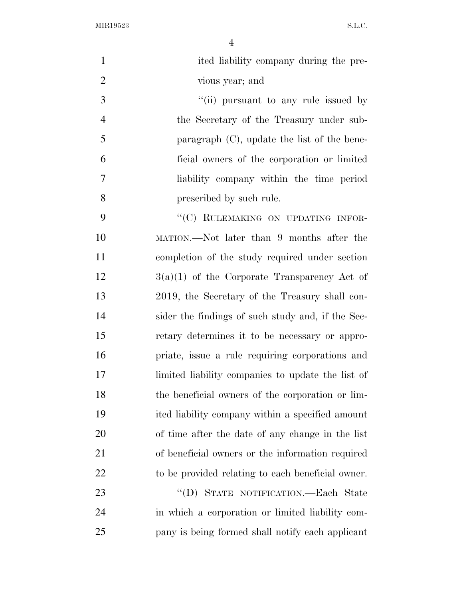| $\mathbf{1}$   | ited liability company during the pre-            |
|----------------|---------------------------------------------------|
| $\overline{2}$ | vious year; and                                   |
| 3              | "(ii) pursuant to any rule issued by              |
| $\overline{4}$ | the Secretary of the Treasury under sub-          |
| 5              | paragraph $(C)$ , update the list of the bene-    |
| 6              | ficial owners of the corporation or limited       |
| 7              | liability company within the time period          |
| 8              | prescribed by such rule.                          |
| 9              | "(C) RULEMAKING ON UPDATING INFOR-                |
| 10             | MATION.—Not later than 9 months after the         |
| 11             | completion of the study required under section    |
| 12             | $3(a)(1)$ of the Corporate Transparency Act of    |
| 13             | 2019, the Secretary of the Treasury shall con-    |
| 14             | sider the findings of such study and, if the Sec- |
| 15             | retary determines it to be necessary or appro-    |
| 16             | priate, issue a rule requiring corporations and   |
| 17             | limited liability companies to update the list of |
| 18             | the beneficial owners of the corporation or lim-  |
| 19             | ited liability company within a specified amount  |
| 20             | of time after the date of any change in the list  |
| 21             | of beneficial owners or the information required  |
| 22             | to be provided relating to each beneficial owner. |
| 23             | "(D) STATE NOTIFICATION.—Each State               |
| 24             | in which a corporation or limited liability com-  |
| 25             | pany is being formed shall notify each applicant  |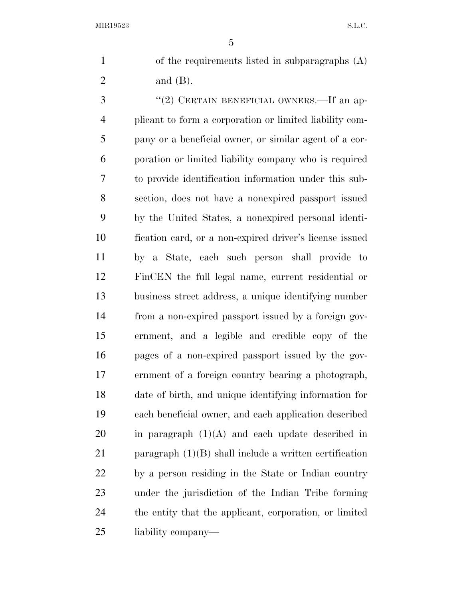of the requirements listed in subparagraphs (A) and (B).

3 "(2) CERTAIN BENEFICIAL OWNERS.—If an ap- plicant to form a corporation or limited liability com- pany or a beneficial owner, or similar agent of a cor- poration or limited liability company who is required to provide identification information under this sub- section, does not have a nonexpired passport issued by the United States, a nonexpired personal identi- fication card, or a non-expired driver's license issued by a State, each such person shall provide to FinCEN the full legal name, current residential or business street address, a unique identifying number from a non-expired passport issued by a foreign gov- ernment, and a legible and credible copy of the pages of a non-expired passport issued by the gov- ernment of a foreign country bearing a photograph, date of birth, and unique identifying information for each beneficial owner, and each application described in paragraph  $(1)(A)$  and each update described in paragraph (1)(B) shall include a written certification by a person residing in the State or Indian country under the jurisdiction of the Indian Tribe forming the entity that the applicant, corporation, or limited liability company—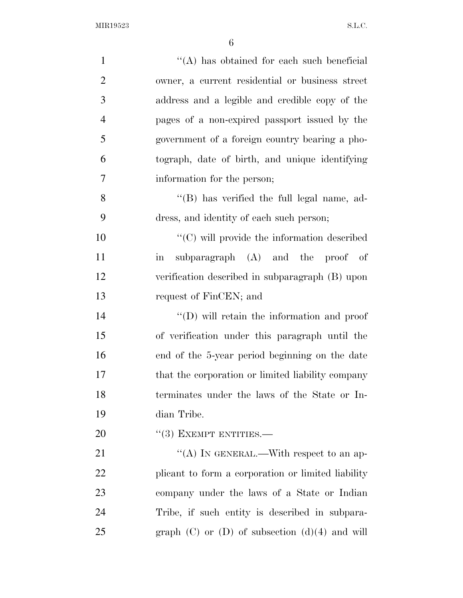| $\mathbf{1}$   | "(A) has obtained for each such beneficial               |
|----------------|----------------------------------------------------------|
| $\overline{2}$ | owner, a current residential or business street          |
| 3              | address and a legible and credible copy of the           |
| $\overline{4}$ | pages of a non-expired passport issued by the            |
| 5              | government of a foreign country bearing a pho-           |
| 6              | tograph, date of birth, and unique identifying           |
| 7              | information for the person;                              |
| 8              | "(B) has verified the full legal name, ad-               |
| 9              | dress, and identity of each such person;                 |
| 10             | $\lq\lq$ (C) will provide the information described      |
| 11             | subparagraph (A) and the proof of<br>$\operatorname{in}$ |
| 12             | verification described in subparagraph (B) upon          |
| 13             | request of FinCEN; and                                   |
| 14             | "(D) will retain the information and proof               |
| 15             | of verification under this paragraph until the           |
| 16             | end of the 5-year period beginning on the date           |
| 17             | that the corporation or limited liability company        |
| 18             | terminates under the laws of the State or In-            |
| 19             | dian Tribe.                                              |
| 20             | $``(3)$ EXEMPT ENTITIES.—                                |
| 21             | "(A) IN GENERAL.—With respect to an ap-                  |
| 22             | plicant to form a corporation or limited liability       |
| 23             | company under the laws of a State or Indian              |
| 24             | Tribe, if such entity is described in subpara-           |
| 25             | graph $(C)$ or $(D)$ of subsection $(d)(4)$ and will     |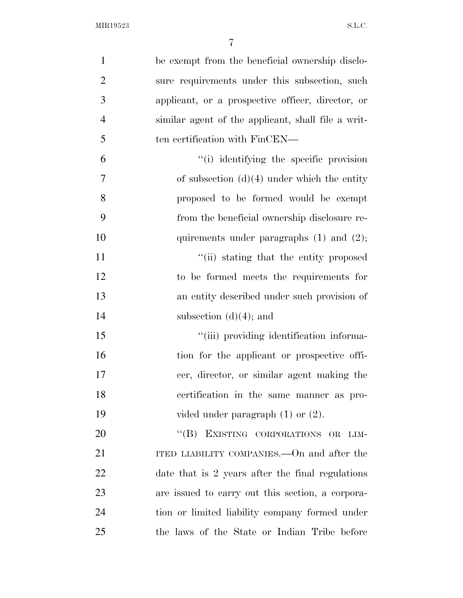| $\mathbf{1}$   | be exempt from the beneficial ownership disclo-    |
|----------------|----------------------------------------------------|
| $\overline{2}$ | sure requirements under this subsection, such      |
| 3              | applicant, or a prospective officer, director, or  |
| $\overline{4}$ | similar agent of the applicant, shall file a writ- |
| 5              | ten certification with FinCEN—                     |
| 6              | "(i) identifying the specific provision            |
| $\overline{7}$ | of subsection $(d)(4)$ under which the entity      |
| 8              | proposed to be formed would be exempt              |
| 9              | from the beneficial ownership disclosure re-       |
| 10             | quirements under paragraphs $(1)$ and $(2)$ ;      |
| 11             | "(ii) stating that the entity proposed             |
| 12             | to be formed meets the requirements for            |
| 13             | an entity described under such provision of        |
| 14             | subsection $(d)(4)$ ; and                          |
| 15             | "(iii) providing identification informa-           |
| 16             | tion for the applicant or prospective offi-        |
| 17             | cer, director, or similar agent making the         |
| 18             | certification in the same manner as pro-           |
| 19             | vided under paragraph $(1)$ or $(2)$ .             |
| 20             | "(B) EXISTING CORPORATIONS OR LIM-                 |
| 21             | ITED LIABILITY COMPANIES.—On and after the         |
| 22             | date that is 2 years after the final regulations   |
| 23             | are issued to carry out this section, a corpora-   |
| 24             | tion or limited liability company formed under     |
| 25             | the laws of the State or Indian Tribe before       |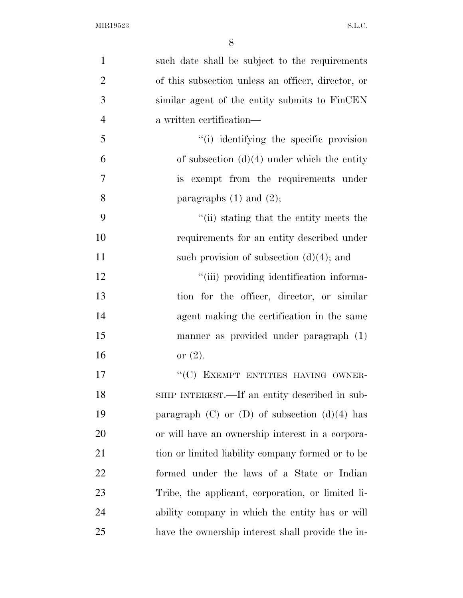| $\mathbf{1}$   | such date shall be subject to the requirements      |
|----------------|-----------------------------------------------------|
| $\overline{2}$ | of this subsection unless an officer, director, or  |
| 3              | similar agent of the entity submits to FinCEN       |
| $\overline{4}$ | a written certification—                            |
| 5              | "(i) identifying the specific provision             |
| 6              | of subsection $(d)(4)$ under which the entity       |
| 7              | is exempt from the requirements under               |
| 8              | paragraphs $(1)$ and $(2)$ ;                        |
| 9              | "(ii) stating that the entity meets the             |
| 10             | requirements for an entity described under          |
| 11             | such provision of subsection $(d)(4)$ ; and         |
| 12             | "(iii) providing identification informa-            |
| 13             | tion for the officer, director, or similar          |
| 14             | agent making the certification in the same          |
| 15             | manner as provided under paragraph (1)              |
| 16             | or $(2)$ .                                          |
| 17             | "(C) EXEMPT ENTITIES HAVING OWNER-                  |
| 18             | SHIP INTEREST.—If an entity described in sub-       |
| 19             | paragraph $(C)$ or $(D)$ of subsection $(d)(4)$ has |
| 20             | or will have an ownership interest in a corpora-    |
| 21             | tion or limited liability company formed or to be   |
| 22             | formed under the laws of a State or Indian          |
| 23             | Tribe, the applicant, corporation, or limited li-   |
| 24             | ability company in which the entity has or will     |
| 25             | have the ownership interest shall provide the in-   |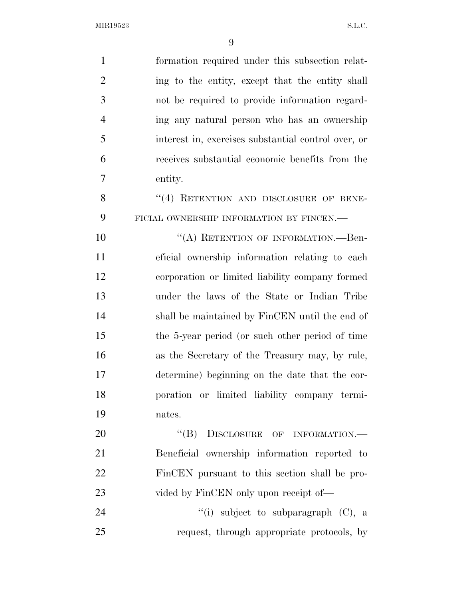| $\mathbf{1}$   | formation required under this subsection relat-     |
|----------------|-----------------------------------------------------|
| $\overline{2}$ | ing to the entity, except that the entity shall     |
| 3              | not be required to provide information regard-      |
| $\overline{4}$ | ing any natural person who has an ownership         |
| 5              | interest in, exercises substantial control over, or |
| 6              | receives substantial economic benefits from the     |
| 7              | entity.                                             |
| 8              | "(4) RETENTION AND DISCLOSURE OF BENE-              |
| 9              | FICIAL OWNERSHIP INFORMATION BY FINCEN.-            |
| 10             | "(A) RETENTION OF INFORMATION.—Ben-                 |
| 11             | eficial ownership information relating to each      |
| 12             | corporation or limited liability company formed     |
| 13             | under the laws of the State or Indian Tribe         |
| 14             | shall be maintained by FinCEN until the end of      |
| 15             | the 5-year period (or such other period of time     |
| 16             | as the Secretary of the Treasury may, by rule,      |
| 17             | determine) beginning on the date that the cor-      |
| 18             | poration or limited liability company termi-        |
| 19             | nates.                                              |
| 20             | "(B) DISCLOSURE OF INFORMATION.-                    |
| 21             | Beneficial ownership information reported to        |
| 22             | FinCEN pursuant to this section shall be pro-       |
| 23             | vided by FinCEN only upon receipt of—               |
| 24             | "(i) subject to subparagraph $(C)$ , a              |
| 25             | request, through appropriate protocols, by          |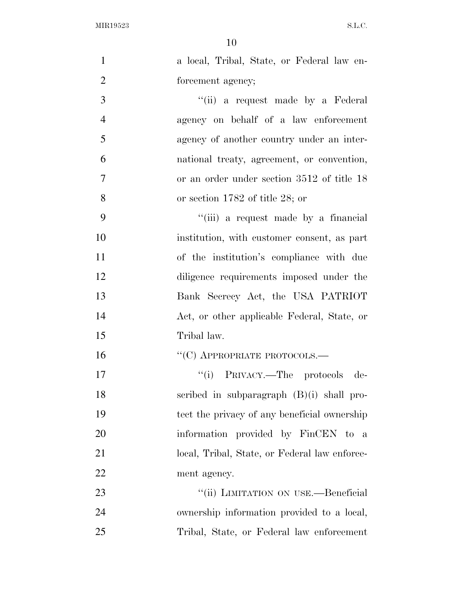| $\mathbf{1}$   | a local, Tribal, State, or Federal law en-    |
|----------------|-----------------------------------------------|
| $\overline{2}$ | forcement agency;                             |
| 3              | "(ii) a request made by a Federal             |
| $\overline{4}$ | agency on behalf of a law enforcement         |
| 5              | agency of another country under an inter-     |
| 6              | national treaty, agreement, or convention,    |
| $\overline{7}$ | or an order under section 3512 of title 18    |
| 8              | or section $1782$ of title 28; or             |
| 9              | "(iii) a request made by a financial          |
| 10             | institution, with customer consent, as part   |
| 11             | of the institution's compliance with due      |
| 12             | diligence requirements imposed under the      |
| 13             | Bank Secrecy Act, the USA PATRIOT             |
| 14             | Act, or other applicable Federal, State, or   |
| 15             | Tribal law.                                   |
| 16             | $``(C)$ APPROPRIATE PROTOCOLS.—               |
| 17             | "(i) PRIVACY.—The protocols de-               |
| 18             | scribed in subparagraph $(B)(i)$ shall pro-   |
| 19             | tect the privacy of any beneficial ownership  |
| 20             | information provided by FinCEN to a           |
| 21             | local, Tribal, State, or Federal law enforce- |
| 22             | ment agency.                                  |
| 23             | "(ii) LIMITATION ON USE.—Beneficial           |
| 24             | ownership information provided to a local,    |
| 25             | Tribal, State, or Federal law enforcement     |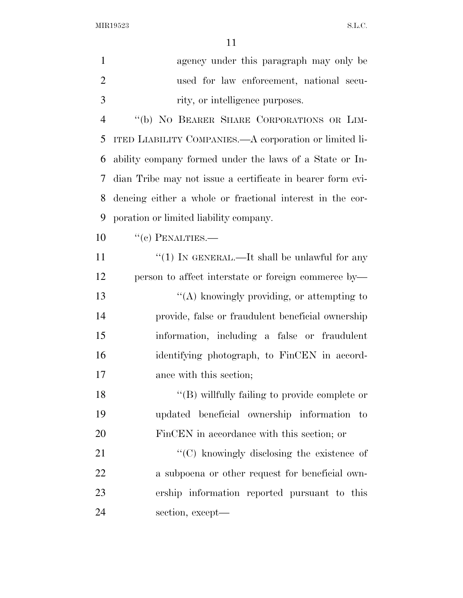| $\mathbf{1}$   | agency under this paragraph may only be                    |
|----------------|------------------------------------------------------------|
| $\overline{2}$ | used for law enforcement, national secu-                   |
| 3              | rity, or intelligence purposes.                            |
| $\overline{4}$ | "(b) NO BEARER SHARE CORPORATIONS OR LIM-                  |
| 5              | ITED LIABILITY COMPANIES.—A corporation or limited li-     |
| 6              | ability company formed under the laws of a State or In-    |
| 7              | dian Tribe may not issue a certificate in bearer form evi- |
| 8              | dencing either a whole or fractional interest in the cor-  |
| 9              | poration or limited liability company.                     |
| 10             | $``(c)$ PENALTIES.—                                        |
| 11             | " $(1)$ IN GENERAL.—It shall be unlawful for any           |
| 12             | person to affect interstate or foreign commerce by—        |
| 13             | "(A) knowingly providing, or attempting to                 |
| 14             | provide, false or fraudulent beneficial ownership          |
| 15             | information, including a false or fraudulent               |
| 16             | identifying photograph, to FinCEN in accord-               |
| 17             | ance with this section;                                    |
| 18             | $\lq\lq$ (B) willfully failing to provide complete or      |
| 19             | updated beneficial ownership information to                |
| 20             | FinCEN in accordance with this section; or                 |
| 21             | "(C) knowingly disclosing the existence of                 |
| 22             | a subpoena or other request for beneficial own-            |
| 23             | ership information reported pursuant to this               |
| 24             | section, except—                                           |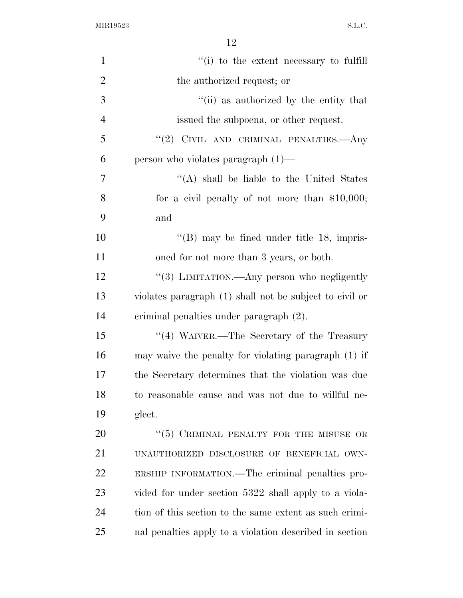| $\mathbf{1}$   | "(i) to the extent necessary to fulfill                 |
|----------------|---------------------------------------------------------|
| $\overline{2}$ | the authorized request; or                              |
| 3              | "(ii) as authorized by the entity that                  |
| $\overline{4}$ | issued the subpoena, or other request.                  |
| 5              | "(2) CIVIL AND CRIMINAL PENALTIES.—Any                  |
| 6              | person who violates paragraph $(1)$ —                   |
| 7              | "(A) shall be liable to the United States               |
| 8              | for a civil penalty of not more than $$10,000;$         |
| 9              | and                                                     |
| 10             | " $(B)$ may be fined under title 18, impris-            |
| 11             | oned for not more than 3 years, or both.                |
| 12             | "(3) LIMITATION.—Any person who negligently             |
| 13             | violates paragraph (1) shall not be subject to civil or |
| 14             | criminal penalties under paragraph (2).                 |
| 15             | "(4) WAIVER.—The Secretary of the Treasury              |
| 16             | may waive the penalty for violating paragraph (1) if    |
| 17             | the Secretary determines that the violation was due     |
| 18             | to reasonable cause and was not due to willful ne-      |
| 19             | glect.                                                  |
| 20             | $(5)$ CRIMINAL PENALTY FOR THE MISUSE OR                |
| 21             | UNAUTHORIZED DISCLOSURE OF BENEFICIAL OWN-              |
| 22             | ERSHIP INFORMATION.—The criminal penalties pro-         |
| 23             | vided for under section 5322 shall apply to a viola-    |
| 24             | tion of this section to the same extent as such crimi-  |
| 25             | nal penalties apply to a violation described in section |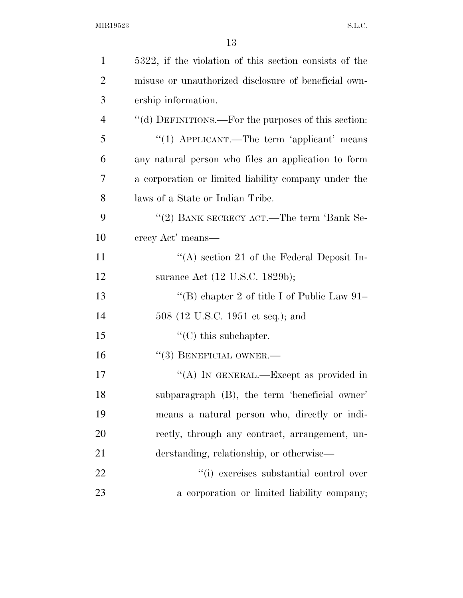| $\mathbf{1}$   | 5322, if the violation of this section consists of the |
|----------------|--------------------------------------------------------|
| $\overline{2}$ | misuse or unauthorized disclosure of beneficial own-   |
| 3              | ership information.                                    |
| $\overline{4}$ | "(d) DEFINITIONS.—For the purposes of this section:    |
| 5              | "(1) APPLICANT.—The term 'applicant' means             |
| 6              | any natural person who files an application to form    |
| 7              | a corporation or limited liability company under the   |
| 8              | laws of a State or Indian Tribe.                       |
| 9              | "(2) BANK SECRECY ACT.—The term 'Bank Se-              |
| 10             | crecy Act' means—                                      |
| 11             | "(A) section 21 of the Federal Deposit In-             |
| 12             | surance Act (12 U.S.C. 1829b);                         |
| 13             | "(B) chapter 2 of title I of Public Law $91-$          |
| 14             | 508 (12 U.S.C. 1951 et seq.); and                      |
| 15             | $\lq\lq$ (C) this subchapter.                          |
| 16             | $``(3)$ BENEFICIAL OWNER.—                             |
| 17             | "(A) IN GENERAL.—Except as provided in                 |
| 18             | subparagraph (B), the term 'beneficial owner'          |
| 19             | means a natural person who, directly or indi-          |
| 20             | rectly, through any contract, arrangement, un-         |
| 21             | derstanding, relationship, or otherwise—               |
| 22             | "(i) exercises substantial control over                |
| 23             | a corporation or limited liability company;            |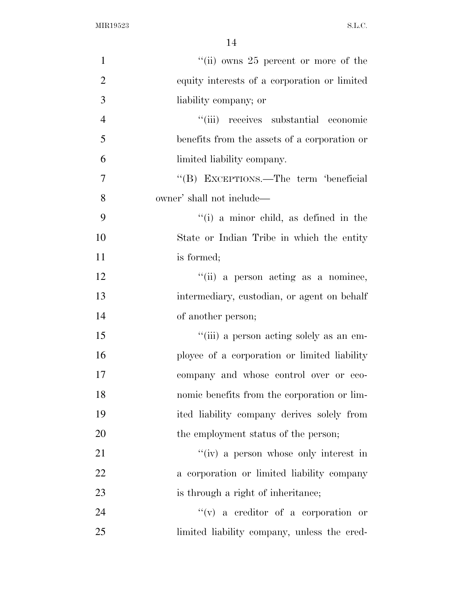| $\mathbf{1}$   | "(ii) owns $25$ percent or more of the       |
|----------------|----------------------------------------------|
| $\overline{2}$ | equity interests of a corporation or limited |
| 3              | liability company; or                        |
| $\overline{4}$ | "(iii) receives substantial economic         |
| 5              | benefits from the assets of a corporation or |
| 6              | limited liability company.                   |
| $\overline{7}$ | "(B) EXCEPTIONS.—The term 'beneficial        |
| 8              | owner' shall not include—                    |
| 9              | $f'(i)$ a minor child, as defined in the     |
| 10             | State or Indian Tribe in which the entity    |
| 11             | is formed;                                   |
| 12             | "(ii) a person acting as a nominee,          |
| 13             | intermediary, custodian, or agent on behalf  |
| 14             | of another person;                           |
| 15             | "(iii) a person acting solely as an em-      |
| 16             | ployee of a corporation or limited liability |
| 17             | company and whose control over or eco-       |
| 18             | nomic benefits from the corporation or lim-  |
| 19             | ited liability company derives solely from   |
| 20             | the employment status of the person;         |
| 21             | "(iv) a person whose only interest in        |
| 22             | a corporation or limited liability company   |
| 23             | is through a right of inheritance;           |
| 24             | $f'(v)$ a creditor of a corporation or       |
| 25             | limited liability company, unless the cred-  |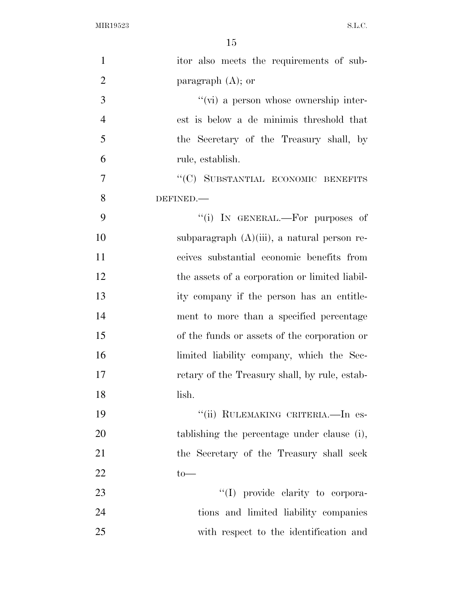| $\mathbf{1}$   | itor also meets the requirements of sub-       |
|----------------|------------------------------------------------|
| $\overline{2}$ | paragraph $(A)$ ; or                           |
| $\mathfrak{Z}$ | "(vi) a person whose ownership inter-          |
| $\overline{4}$ | est is below a de minimis threshold that       |
| 5              | the Secretary of the Treasury shall, by        |
| 6              | rule, establish.                               |
| 7              | "(C) SUBSTANTIAL ECONOMIC BENEFITS             |
| 8              | DEFINED.                                       |
| 9              | "(i) IN GENERAL.—For purposes of               |
| 10             | subparagraph $(A)(iii)$ , a natural person re- |
| 11             | ceives substantial economic benefits from      |
| 12             | the assets of a corporation or limited liabil- |
| 13             | ity company if the person has an entitle-      |
| 14             | ment to more than a specified percentage       |
| 15             | of the funds or assets of the corporation or   |
| 16             | limited liability company, which the Sec-      |
| 17             | retary of the Treasury shall, by rule, estab-  |
| 18             | lish.                                          |
| 19             | "(ii) RULEMAKING CRITERIA. - In es-            |
| 20             | tablishing the percentage under clause (i),    |
| 21             | the Secretary of the Treasury shall seek       |
| 22             | $to-$                                          |
| 23             | "(I) provide clarity to corpora-               |
| 24             | tions and limited liability companies          |
| 25             | with respect to the identification and         |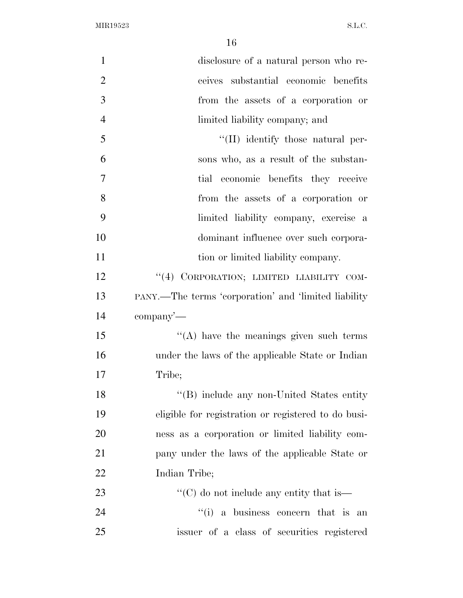| $\mathbf{1}$   | disclosure of a natural person who re-               |
|----------------|------------------------------------------------------|
| $\overline{2}$ | ceives substantial economic benefits                 |
| 3              | from the assets of a corporation or                  |
| $\overline{4}$ | limited liability company; and                       |
| 5              | "(II) identify those natural per-                    |
| 6              | sons who, as a result of the substan-                |
| $\overline{7}$ | tial economic benefits they receive                  |
| 8              | from the assets of a corporation or                  |
| 9              | limited liability company, exercise a                |
| 10             | dominant influence over such corpora-                |
| 11             | tion or limited liability company.                   |
| 12             | "(4) CORPORATION; LIMITED LIABILITY COM-             |
| 13             | PANY.—The terms 'corporation' and 'limited liability |
| 14             | $\mathop{\rm company}\nolimits'$                     |
| 15             | $\lq\lq$ have the meanings given such terms          |
| 16             | under the laws of the applicable State or Indian     |
| 17             | Tribe;                                               |
| 18             | "(B) include any non-United States entity            |
| 19             | eligible for registration or registered to do busi-  |
| 20             | ness as a corporation or limited liability com-      |
| 21             | pany under the laws of the applicable State or       |
| 22             | Indian Tribe;                                        |
| 23             | "(C) do not include any entity that is—              |
| 24             | "(i) a business concern that is an                   |
| 25             | issuer of a class of securities registered           |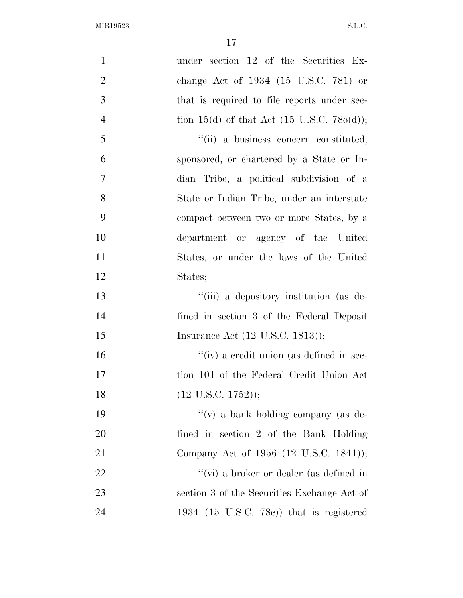| $\mathbf{1}$   | under section 12 of the Securities Ex-                |
|----------------|-------------------------------------------------------|
| $\overline{2}$ | change Act of 1934 (15 U.S.C. 781) or                 |
| 3              | that is required to file reports under sec-           |
| $\overline{4}$ | tion 15(d) of that Act $(15 \text{ U.S.C. } 780(d));$ |
| 5              | "(ii) a business concern constituted,                 |
| 6              | sponsored, or chartered by a State or In-             |
| $\overline{7}$ | dian Tribe, a political subdivision of a              |
| 8              | State or Indian Tribe, under an interstate            |
| 9              | compact between two or more States, by a              |
| 10             | department or agency of the United                    |
| 11             | States, or under the laws of the United               |
| 12             | States;                                               |
| 13             | "(iii) a depository institution (as de-               |
| 14             | fined in section 3 of the Federal Deposit             |
| 15             | Insurance Act (12 U.S.C. 1813));                      |
| 16             | "(iv) a credit union (as defined in sec-              |
| 17             | tion 101 of the Federal Credit Union Act              |
| 18             | $(12$ U.S.C. $1752$ );                                |
| 19             | "(v) a bank holding company (as de-                   |
| 20             | fined in section 2 of the Bank Holding                |
| 21             | Company Act of 1956 (12 U.S.C. 1841));                |
| 22             | "(vi) a broker or dealer (as defined in               |
| 23             | section 3 of the Securities Exchange Act of           |
| 24             | 1934 $(15 \text{ U.S.C. } 78c)$ that is registered    |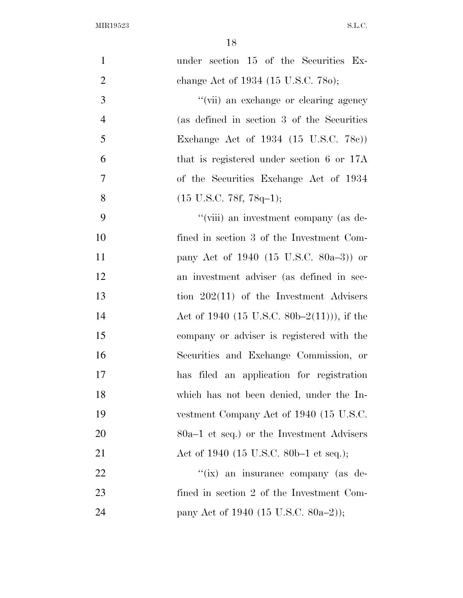| $\mathbf{1}$   | under section 15 of the Securities Ex-      |
|----------------|---------------------------------------------|
| $\overline{2}$ | change Act of 1934 (15 U.S.C. 780);         |
| 3              | "(vii) an exchange or clearing agency       |
| $\overline{4}$ | (as defined in section 3 of the Securities  |
| 5              | Exchange Act of 1934 (15 U.S.C. 78c))       |
| 6              | that is registered under section 6 or 17A   |
| 7              | of the Securities Exchange Act of 1934      |
| 8              | $(15 \text{ U.S.C. } 78f, 78q-1);$          |
| 9              | "(viii) an investment company (as de-       |
| 10             | fined in section 3 of the Investment Com-   |
| 11             | pany Act of 1940 (15 U.S.C. 80a-3)) or      |
| 12             | an investment adviser (as defined in sec-   |
| 13             | tion $202(11)$ of the Investment Advisers   |
| 14             | Act of 1940 (15 U.S.C. 80b–2(11))), if the  |
| 15             | company or adviser is registered with the   |
| 16             | Securities and Exchange Commission, or      |
| 17             | has filed an application for registration   |
| 18             | which has not been denied, under the In-    |
| 19             | vestment Company Act of 1940 (15 U.S.C.     |
| 20             | $80a-1$ et seq.) or the Investment Advisers |
| 21             | Act of 1940 (15 U.S.C. 80b–1 et seq.);      |
| <u>22</u>      | "(ix) an insurance company (as de-          |
| 23             | fined in section 2 of the Investment Com-   |
| 24             | pany Act of 1940 (15 U.S.C. 80a–2));        |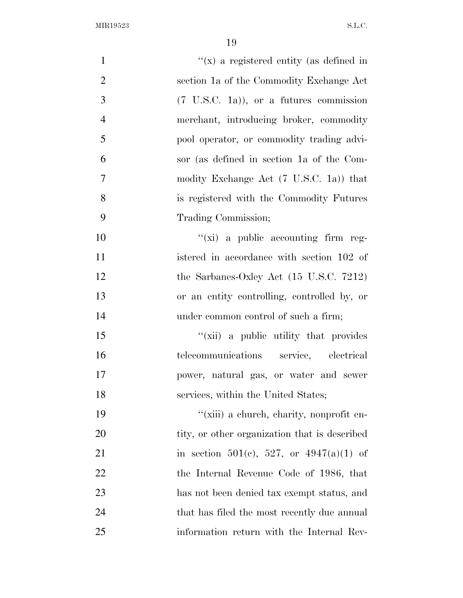| $\mathbf{1}$   | " $(x)$ a registered entity (as defined in         |
|----------------|----------------------------------------------------|
| $\overline{2}$ | section 1a of the Commodity Exchange Act           |
| 3              | $(7 \text{ U.S.C. } 1a)$ , or a futures commission |
| $\overline{4}$ | merchant, introducing broker, commodity            |
| 5              | pool operator, or commodity trading advi-          |
| 6              | sor (as defined in section 1a of the Com-          |
| $\tau$         | modity Exchange Act (7 U.S.C. 1a)) that            |
| 8              | is registered with the Commodity Futures           |
| 9              | Trading Commission;                                |
| 10             | $\lq\lq$ (xi) a public accounting firm reg-        |
| 11             | istered in accordance with section 102 of          |
| 12             | the Sarbanes-Oxley Act $(15 \text{ U.S.C. } 7212)$ |
| 13             | or an entity controlling, controlled by, or        |
| 14             | under common control of such a firm;               |
| 15             | "(xii) a public utility that provides              |
| 16             | telecommunications service, electrical             |
| 17             | power, natural gas, or water and sewer             |
| 18             | services, within the United States;                |
| 19             | "(xiii) a church, charity, nonprofit en-           |
| 20             | tity, or other organization that is described      |
| 21             | in section 501(c), 527, or $4947(a)(1)$ of         |
| 22             | the Internal Revenue Code of 1986, that            |
| 23             | has not been denied tax exempt status, and         |
| 24             | that has filed the most recently due annual        |
| 25             | information return with the Internal Rev-          |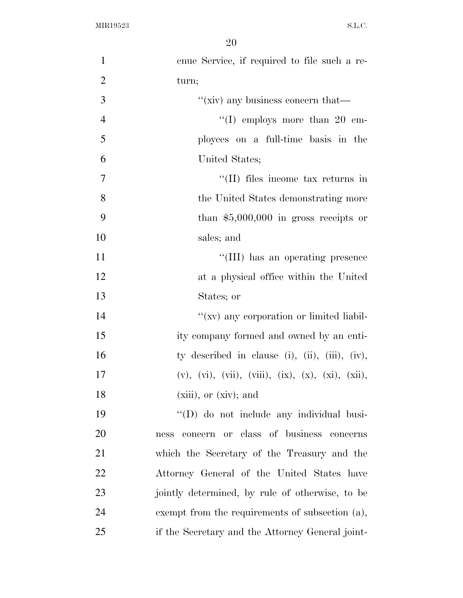| $\mathbf{1}$   | enue Service, if required to file such a re-                              |
|----------------|---------------------------------------------------------------------------|
| $\overline{2}$ | turn;                                                                     |
| 3              | "(xiv) any business concern that— $\overline{\phantom{a}}$                |
| $\overline{4}$ | "(I) employs more than 20 em-                                             |
| 5              | ployees on a full-time basis in the                                       |
| 6              | United States;                                                            |
| 7              | $\lq$ (II) files income tax returns in                                    |
| 8              | the United States demonstrating more                                      |
| 9              | than $$5,000,000$ in gross receipts or                                    |
| 10             | sales; and                                                                |
| 11             | "(III) has an operating presence                                          |
| 12             | at a physical office within the United                                    |
| 13             | States; or                                                                |
| 14             | "(xv) any corporation or limited liabil-                                  |
| 15             | ity company formed and owned by an enti-                                  |
| 16             | ty described in clause (i), (ii), (iii), (iv),                            |
| 17             | $(v)$ , $(vi)$ , $(vii)$ , $(viii)$ , $(ix)$ , $(x)$ , $(xi)$ , $(xii)$ , |
| 18             | $(xiii)$ , or $(xiv)$ ; and                                               |
| 19             | "(D) do not include any individual busi-                                  |
| 20             | concern or class of business concerns<br>ness                             |
| 21             | which the Secretary of the Treasury and the                               |
| 22             | Attorney General of the United States have                                |
| 23             | jointly determined, by rule of otherwise, to be                           |
| 24             | exempt from the requirements of subsection (a),                           |
| 25             | if the Secretary and the Attorney General joint-                          |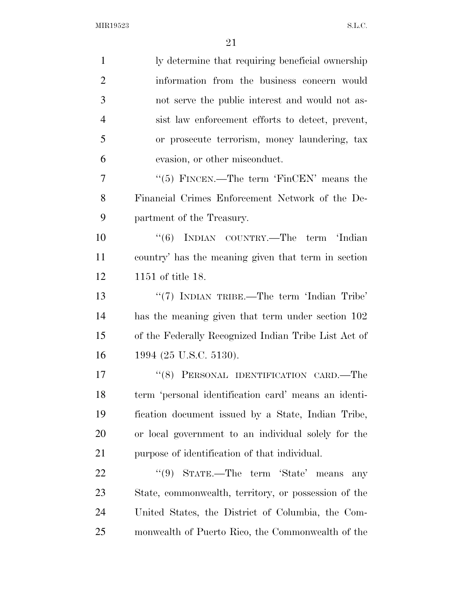| $\mathbf{1}$   | ly determine that requiring beneficial ownership     |
|----------------|------------------------------------------------------|
| $\overline{2}$ | information from the business concern would          |
| 3              | not serve the public interest and would not as-      |
| $\overline{4}$ | sist law enforcement efforts to detect, prevent,     |
| 5              | or prosecute terrorism, money laundering, tax        |
| 6              | evasion, or other misconduct.                        |
| 7              | " $(5)$ FINCEN.—The term 'FinCEN' means the          |
| 8              | Financial Crimes Enforcement Network of the De-      |
| 9              | partment of the Treasury.                            |
| 10             | "(6) INDIAN COUNTRY.—The term 'Indian                |
| 11             | country' has the meaning given that term in section  |
| 12             | 1151 of title 18.                                    |
| 13             | " $(7)$ INDIAN TRIBE.—The term 'Indian Tribe'        |
| 14             | has the meaning given that term under section 102    |
| 15             | of the Federally Recognized Indian Tribe List Act of |
| 16             | 1994 (25 U.S.C. 5130).                               |
| 17             | "(8) PERSONAL IDENTIFICATION CARD.—The               |
| 18             | term 'personal identification card' means an identi- |
| 19             | fication document issued by a State, Indian Tribe,   |
| 20             | or local government to an individual solely for the  |
| 21             | purpose of identification of that individual.        |
| 22             | STATE.—The term 'State' means<br>``(9)<br>any        |
| 23             | State, commonwealth, territory, or possession of the |
| 24             | United States, the District of Columbia, the Com-    |
| 25             | monwealth of Puerto Rico, the Commonwealth of the    |
|                |                                                      |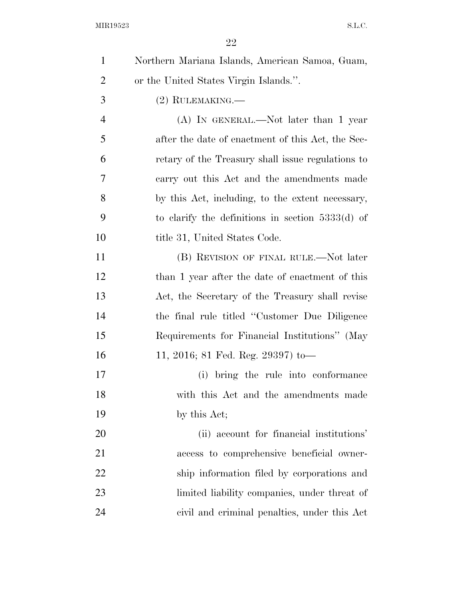| $\mathbf{1}$   | Northern Mariana Islands, American Samoa, Guam,    |
|----------------|----------------------------------------------------|
| $\overline{2}$ | or the United States Virgin Islands.".             |
| 3              | $(2)$ RULEMAKING.—                                 |
| $\overline{4}$ | $(A)$ In GENERAL.—Not later than 1 year            |
| 5              | after the date of enactment of this Act, the Sec-  |
| 6              | retary of the Treasury shall issue regulations to  |
| 7              | carry out this Act and the amendments made         |
| 8              | by this Act, including, to the extent necessary,   |
| 9              | to clarify the definitions in section $5333(d)$ of |
| 10             | title 31, United States Code.                      |
| 11             | (B) REVISION OF FINAL RULE.—Not later              |
| 12             | than 1 year after the date of enactment of this    |
| 13             | Act, the Secretary of the Treasury shall revise    |
| 14             | the final rule titled "Customer Due Diligence"     |
| 15             | Requirements for Financial Institutions" (May      |
| 16             | 11, 2016; 81 Fed. Reg. 29397) to-                  |
| 17             | bring the rule into conformance<br>(i)             |
| 18             | with this Act and the amendments made              |
| 19             | by this Act;                                       |
| 20             | (ii) account for financial institutions'           |
| 21             | access to comprehensive beneficial owner-          |
| 22             | ship information filed by corporations and         |
| 23             | limited liability companies, under threat of       |
| 24             | civil and criminal penalties, under this Act       |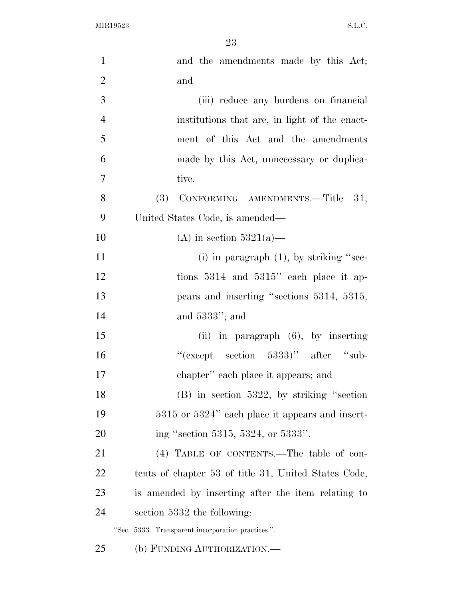| $\mathbf{1}$   | and the amendments made by this Act;                 |
|----------------|------------------------------------------------------|
| $\overline{2}$ | and                                                  |
| 3              | (iii) reduce any burdens on financial                |
| $\overline{4}$ | institutions that are, in light of the enact-        |
| 5              | ment of this Act and the amendments                  |
| 6              | made by this Act, unnecessary or duplica-            |
| $\overline{7}$ | tive.                                                |
| 8              | CONFORMING AMENDMENTS.-Title 31,<br>(3)              |
| 9              | United States Code, is amended—                      |
| 10             | (A) in section $5321(a)$ —                           |
| 11             | (i) in paragraph $(1)$ , by striking "sec-           |
| 12             | tions $5314$ and $5315$ " each place it ap-          |
| 13             | pears and inserting "sections 5314, 5315,            |
| 14             | and $5333$ "; and                                    |
| 15             | (ii) in paragraph $(6)$ , by inserting               |
| 16             | "(except section 5333)" after "sub-                  |
| 17             | chapter" each place it appears; and                  |
| 18             | $(B)$ in section 5322, by striking "section"         |
| 19             | 5315 or 5324" each place it appears and insert-      |
| 20             | ing "section 5315, 5324, or 5333".                   |
| 21             | (4) TABLE OF CONTENTS.—The table of con-             |
| 22             | tents of chapter 53 of title 31, United States Code, |
| 23             | is amended by inserting after the item relating to   |
| 24             | section 5332 the following:                          |
|                | "Sec. 5333. Transparent incorporation practices.".   |
| 25             | (b) FUNDING AUTHORIZATION.—                          |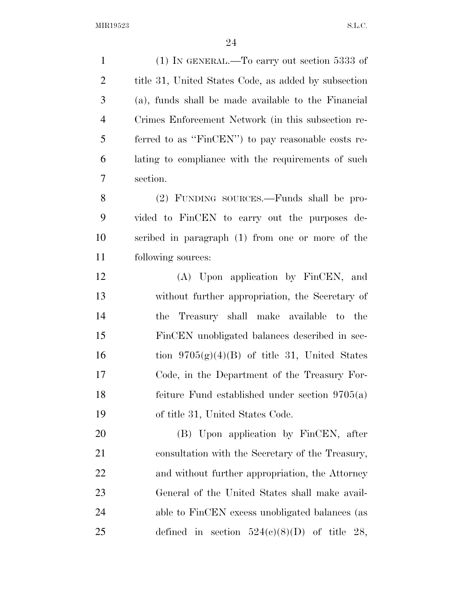(1) IN GENERAL.—To carry out section 5333 of 2 title 31, United States Code, as added by subsection (a), funds shall be made available to the Financial Crimes Enforcement Network (in this subsection re- ferred to as ''FinCEN'') to pay reasonable costs re- lating to compliance with the requirements of such section. (2) FUNDING SOURCES.—Funds shall be pro- vided to FinCEN to carry out the purposes de- scribed in paragraph (1) from one or more of the following sources: (A) Upon application by FinCEN, and without further appropriation, the Secretary of the Treasury shall make available to the FinCEN unobligated balances described in sec-16 tion  $9705(g)(4)(B)$  of title 31, United States Code, in the Department of the Treasury For- feiture Fund established under section 9705(a) of title 31, United States Code. (B) Upon application by FinCEN, after consultation with the Secretary of the Treasury, and without further appropriation, the Attorney General of the United States shall make avail-24 able to FinCEN excess unobligated balances (as 25 defined in section  $524(e)(8)(D)$  of title 28,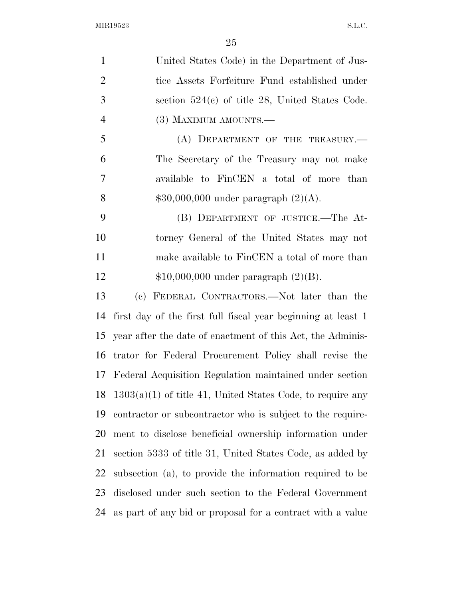| $\mathbf{1}$   | United States Code) in the Department of Jus-                |
|----------------|--------------------------------------------------------------|
| $\overline{2}$ | tice Assets Forfeiture Fund established under                |
| 3              | section $524(c)$ of title 28, United States Code.            |
| $\overline{4}$ | (3) MAXIMUM AMOUNTS.—                                        |
| 5              | (A) DEPARTMENT OF THE TREASURY.-                             |
| 6              | The Secretary of the Treasury may not make                   |
| 7              | available to FinCEN a total of more than                     |
| 8              | $$30,000,000$ under paragraph $(2)(A)$ .                     |
| 9              | (B) DEPARTMENT OF JUSTICE.—The At-                           |
| 10             | torney General of the United States may not                  |
| 11             | make available to FinCEN a total of more than                |
| 12             | $$10,000,000$ under paragraph $(2)(B)$ .                     |
| 13             | (c) FEDERAL CONTRACTORS.—Not later than the                  |
| 14             | first day of the first full fiscal year beginning at least 1 |
| 15             | year after the date of enactment of this Act, the Adminis-   |
| 16             | trator for Federal Procurement Policy shall revise the       |
|                | 17 Federal Acquisition Regulation maintained under section   |
| 18             | $1303(a)(1)$ of title 41, United States Code, to require any |
| 19             | contractor or subcontractor who is subject to the require-   |
| 20             | ment to disclose beneficial ownership information under      |
| 21             | section 5333 of title 31, United States Code, as added by    |
| 22             | subsection (a), to provide the information required to be    |
| 23             | disclosed under such section to the Federal Government       |
| 24             | as part of any bid or proposal for a contract with a value   |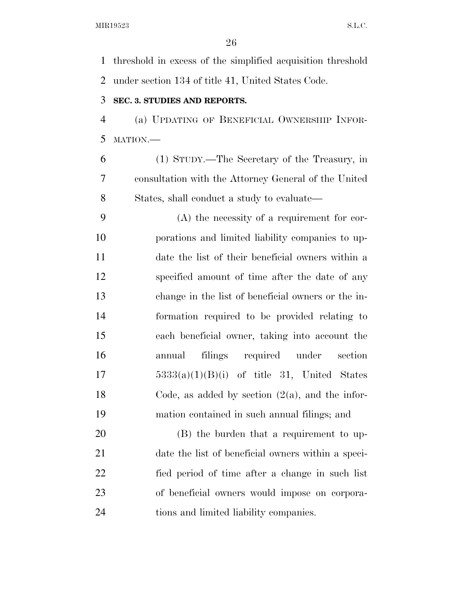threshold in excess of the simplified acquisition threshold under section 134 of title 41, United States Code.

## **SEC. 3. STUDIES AND REPORTS.**

 (a) UPDATING OF BENEFICIAL OWNERSHIP INFOR-MATION.—

 (1) STUDY.—The Secretary of the Treasury, in consultation with the Attorney General of the United States, shall conduct a study to evaluate—

 (A) the necessity of a requirement for cor- porations and limited liability companies to up- date the list of their beneficial owners within a specified amount of time after the date of any change in the list of beneficial owners or the in- formation required to be provided relating to each beneficial owner, taking into account the annual filings required under section  $5333(a)(1)(B)(i)$  of title 31, United States 18 Code, as added by section  $(2(a))$ , and the infor-mation contained in such annual filings; and

 (B) the burden that a requirement to up- date the list of beneficial owners within a speci- fied period of time after a change in such list of beneficial owners would impose on corpora-tions and limited liability companies.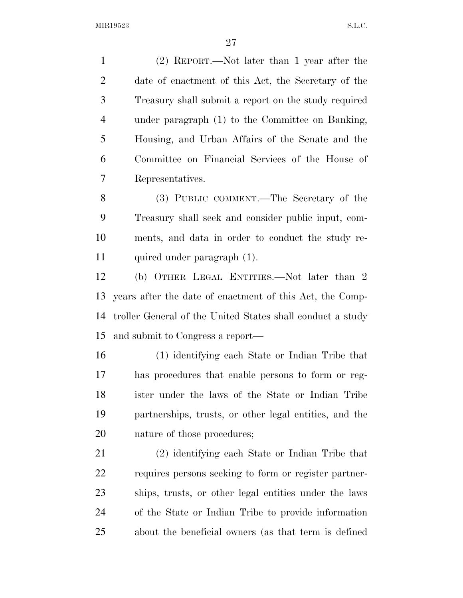(2) REPORT.—Not later than 1 year after the date of enactment of this Act, the Secretary of the Treasury shall submit a report on the study required under paragraph (1) to the Committee on Banking, Housing, and Urban Affairs of the Senate and the Committee on Financial Services of the House of Representatives.

 (3) PUBLIC COMMENT.—The Secretary of the Treasury shall seek and consider public input, com- ments, and data in order to conduct the study re-quired under paragraph (1).

 (b) OTHER LEGAL ENTITIES.—Not later than 2 years after the date of enactment of this Act, the Comp- troller General of the United States shall conduct a study and submit to Congress a report—

 (1) identifying each State or Indian Tribe that has procedures that enable persons to form or reg- ister under the laws of the State or Indian Tribe partnerships, trusts, or other legal entities, and the nature of those procedures;

 (2) identifying each State or Indian Tribe that requires persons seeking to form or register partner- ships, trusts, or other legal entities under the laws of the State or Indian Tribe to provide information about the beneficial owners (as that term is defined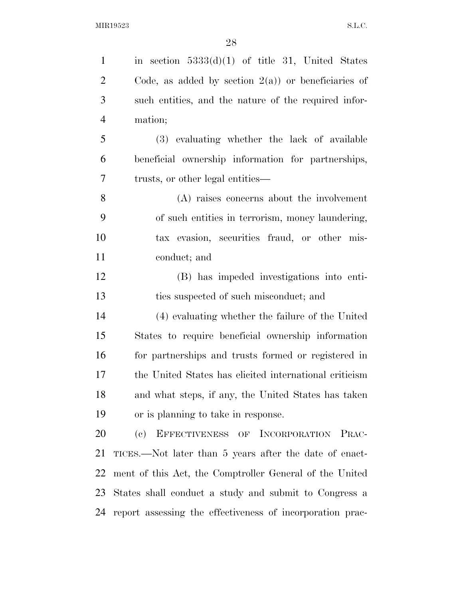1 in section  $5333(d)(1)$  of title 31, United States  $2 \text{ Code}$ , as added by section  $2(a)$  or beneficiaries of such entities, and the nature of the required infor- mation; (3) evaluating whether the lack of available beneficial ownership information for partnerships, trusts, or other legal entities— (A) raises concerns about the involvement of such entities in terrorism, money laundering, tax evasion, securities fraud, or other mis- conduct; and (B) has impeded investigations into enti- ties suspected of such misconduct; and (4) evaluating whether the failure of the United States to require beneficial ownership information for partnerships and trusts formed or registered in the United States has elicited international criticism and what steps, if any, the United States has taken or is planning to take in response. (c) EFFECTIVENESS OF INCORPORATION PRAC- TICES.—Not later than 5 years after the date of enact- ment of this Act, the Comptroller General of the United States shall conduct a study and submit to Congress a report assessing the effectiveness of incorporation prac-